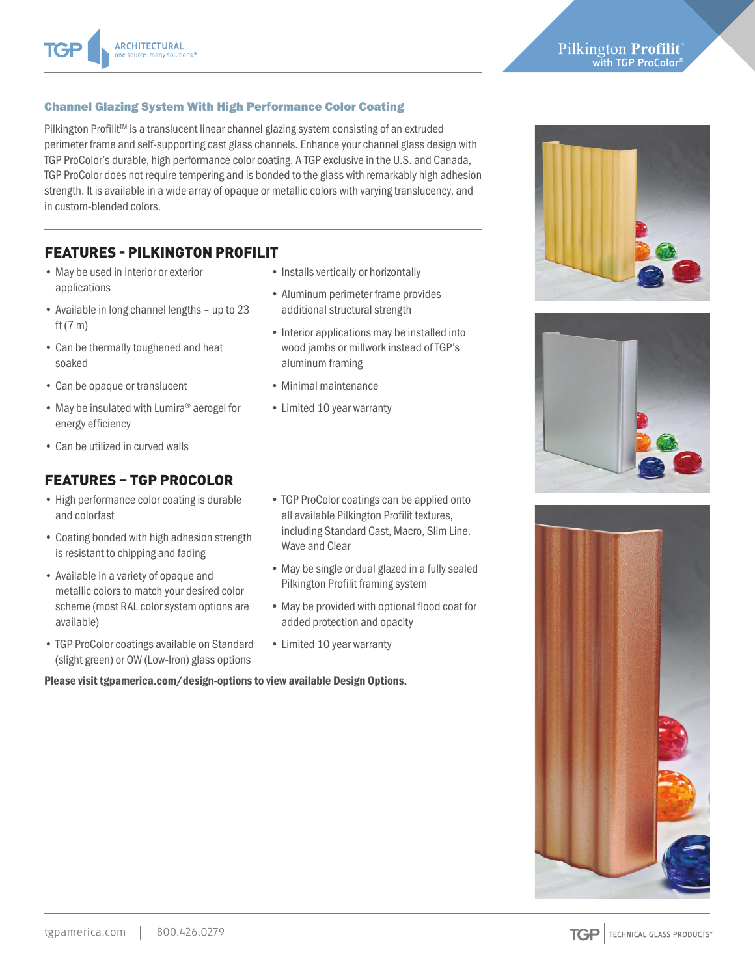### Pilkington Profilit **with TGP ProColor®**

#### Channel Glazing System With High Performance Color Coating

Pilkington Profilit™ is a translucent linear channel glazing system consisting of an extruded perimeter frame and self-supporting cast glass channels. Enhance your channel glass design with TGP ProColor's durable, high performance color coating. A TGP exclusive in the U.S. and Canada, TGP ProColor does not require tempering and is bonded to the glass with remarkably high adhesion strength. It is available in a wide array of opaque or metallic colors with varying translucency, and in custom-blended colors.

### FEATURES - PILKINGTON PROFILIT

- May be used in interior or exterior applications
- Available in long channel lengths up to 23 ft (7 m)
- Can be thermally toughened and heat soaked
- Can be opaque or translucent
- May be insulated with Lumira<sup>®</sup> aerogel for energy efficiency
- Can be utilized in curved walls

## FEATURES – TGP PROCOLOR

- High performance color coating is durable and colorfast
- Coating bonded with high adhesion strength is resistant to chipping and fading
- Available in a variety of opaque and metallic colors to match your desired color scheme (most RAL color system options are available)
- TGP ProColor coatings available on Standard (slight green) or OW (Low-Iron) glass options
- Installs vertically or horizontally
- Aluminum perimeter frame provides additional structural strength
- Interior applications may be installed into wood jambs or millwork instead of TGP's aluminum framing
- Minimal maintenance
- Limited 10 year warranty







tgpamerica.com | 800.426.0279

- TGP ProColor coatings can be applied onto all available Pilkington Profilit textures, including Standard Cast, Macro, Slim Line, Wave and Clear
- May be single or dual glazed in a fully sealed Pilkington Profilit framing system
- May be provided with optional flood coat for added protection and opacity
- Limited 10 year warranty

Please visit tgpamerica.com/design-options to view available Design Options.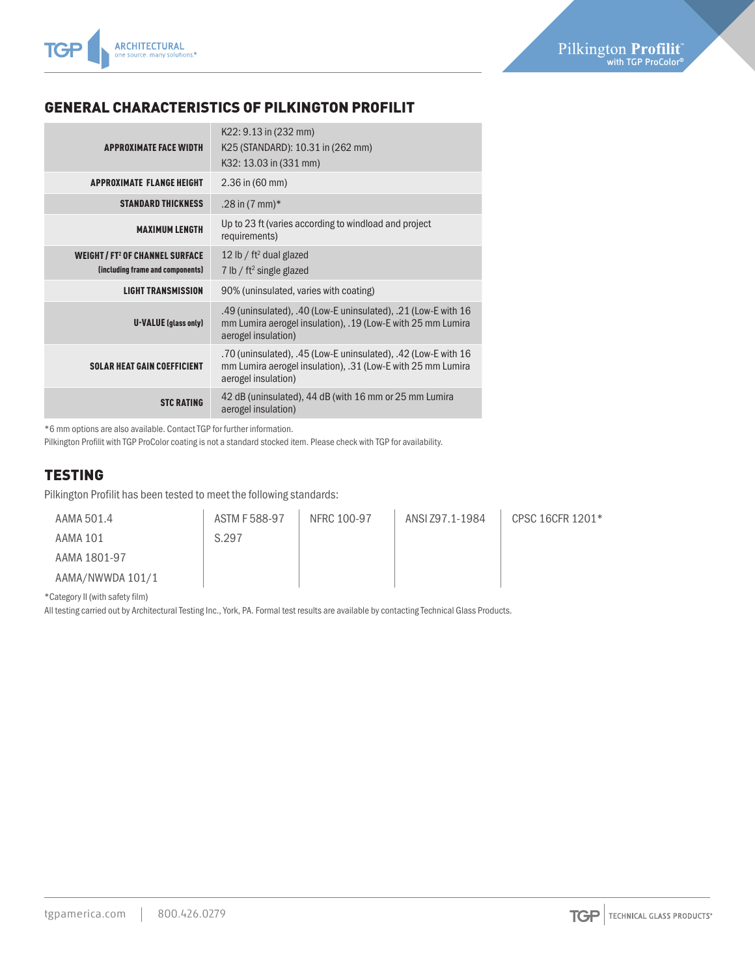

# GENERAL CHARACTERISTICS OF PILKINGTON PROFILIT

| <b>APPROXIMATE FACE WIDTH</b>                                                       | K22: 9.13 in (232 mm)<br>K25 (STANDARD): 10.31 in (262 mm)<br>K32: 13.03 in (331 mm)                                                                 |  |  |
|-------------------------------------------------------------------------------------|------------------------------------------------------------------------------------------------------------------------------------------------------|--|--|
| <b>APPROXIMATE FLANGE HEIGHT</b>                                                    | $2.36$ in (60 mm)                                                                                                                                    |  |  |
| <b>STANDARD THICKNESS</b>                                                           | .28 in $(7 \text{ mm})^*$                                                                                                                            |  |  |
| <b>MAXIMUM LENGTH</b>                                                               | Up to 23 ft (varies according to windload and project<br>requirements)                                                                               |  |  |
| <b>WEIGHT/FT<sup>2</sup> OF CHANNEL SURFACE</b><br>(including frame and components) | 12 lb / $ft^2$ dual glazed<br>7 lb / $ft^2$ single glazed                                                                                            |  |  |
| <b>LIGHT TRANSMISSION</b>                                                           | 90% (uninsulated, varies with coating)                                                                                                               |  |  |
| <b>U-VALUE</b> (glass only)                                                         | .49 (uninsulated), .40 (Low-E uninsulated), .21 (Low-E with 16<br>mm Lumira aerogel insulation), .19 (Low-E with 25 mm Lumira<br>aerogel insulation) |  |  |
| <b>SOLAR HEAT GAIN COEFFICIENT</b>                                                  | .70 (uninsulated), .45 (Low-E uninsulated), .42 (Low-E with 16<br>mm Lumira aerogel insulation), .31 (Low-E with 25 mm Lumira<br>aerogel insulation) |  |  |
| <b>STC RATING</b>                                                                   | 42 dB (uninsulated), 44 dB (with 16 mm or 25 mm Lumira<br>aerogel insulation)                                                                        |  |  |

\*6 mm options are also available. Contact TGP for further information.

Pilkington Profilit with TGP ProColor coating is not a standard stocked item. Please check with TGP for availability.

### TESTING

Pilkington Profilit has been tested to meet the following standards:

| AAMA 501.4       | ASTM F 588-97 | NFRC 100-97 | ANSI Z97.1-1984 | CPSC 16CFR 1201* |
|------------------|---------------|-------------|-----------------|------------------|
| AAMA 101         | S.297         |             |                 |                  |
| AAMA 1801-97     |               |             |                 |                  |
| AAMA/NWWDA 101/1 |               |             |                 |                  |

\*Category II (with safety film)

All testing carried out by Architectural Testing Inc., York, PA. Formal test results are available by contacting Technical Glass Products.